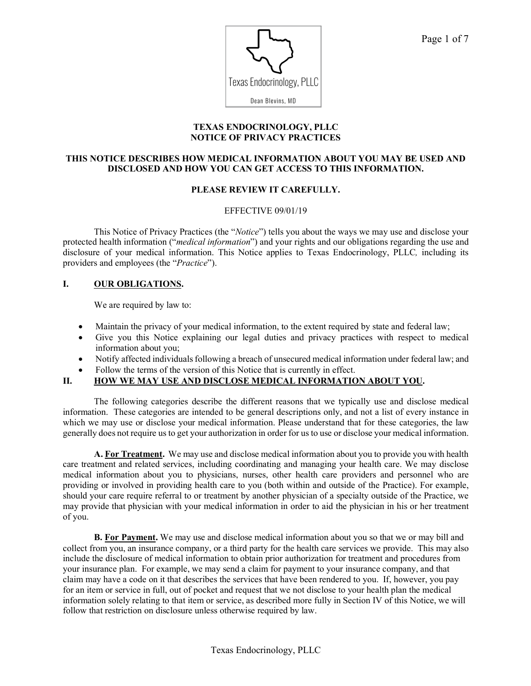

#### **TEXAS ENDOCRINOLOGY, PLLC NOTICE OF PRIVACY PRACTICES**

## **THIS NOTICE DESCRIBES HOW MEDICAL INFORMATION ABOUT YOU MAY BE USED AND DISCLOSED AND HOW YOU CAN GET ACCESS TO THIS INFORMATION.**

## **PLEASE REVIEW IT CAREFULLY.**

#### EFFECTIVE 09/01/19

This Notice of Privacy Practices (the "*Notice*") tells you about the ways we may use and disclose your protected health information ("*medical information*") and your rights and our obligations regarding the use and disclosure of your medical information. This Notice applies to Texas Endocrinology, PLLC*,* including its providers and employees (the "*Practice*").

## **I. OUR OBLIGATIONS.**

We are required by law to:

- Maintain the privacy of your medical information, to the extent required by state and federal law;
- Give you this Notice explaining our legal duties and privacy practices with respect to medical information about you;
- Notify affected individuals following a breach of unsecured medical information under federal law; and
- Follow the terms of the version of this Notice that is currently in effect.

## **II. HOW WE MAY USE AND DISCLOSE MEDICAL INFORMATION ABOUT YOU.**

The following categories describe the different reasons that we typically use and disclose medical information. These categories are intended to be general descriptions only, and not a list of every instance in which we may use or disclose your medical information. Please understand that for these categories, the law generally does not require us to get your authorization in order for us to use or disclose your medical information.

**A. For Treatment.** We may use and disclose medical information about you to provide you with health care treatment and related services, including coordinating and managing your health care. We may disclose medical information about you to physicians, nurses, other health care providers and personnel who are providing or involved in providing health care to you (both within and outside of the Practice). For example, should your care require referral to or treatment by another physician of a specialty outside of the Practice, we may provide that physician with your medical information in order to aid the physician in his or her treatment of you.

**B. For Payment.** We may use and disclose medical information about you so that we or may bill and collect from you, an insurance company, or a third party for the health care services we provide. This may also include the disclosure of medical information to obtain prior authorization for treatment and procedures from your insurance plan. For example, we may send a claim for payment to your insurance company, and that claim may have a code on it that describes the services that have been rendered to you. If, however, you pay for an item or service in full, out of pocket and request that we not disclose to your health plan the medical information solely relating to that item or service, as described more fully in Section IV of this Notice, we will follow that restriction on disclosure unless otherwise required by law.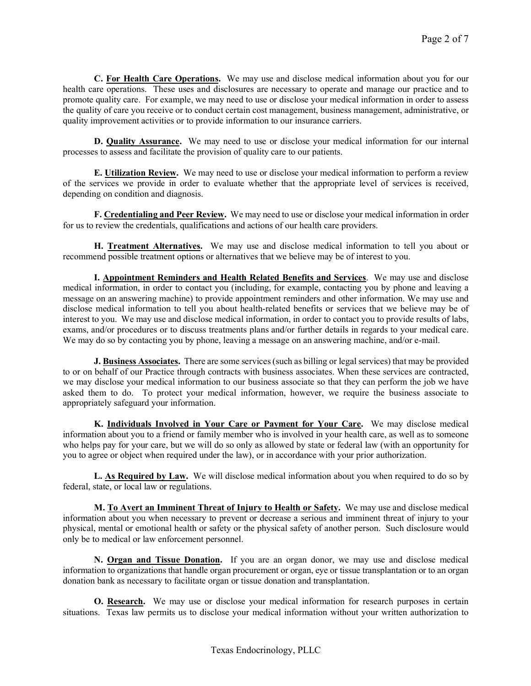**C. For Health Care Operations.** We may use and disclose medical information about you for our health care operations. These uses and disclosures are necessary to operate and manage our practice and to promote quality care. For example, we may need to use or disclose your medical information in order to assess the quality of care you receive or to conduct certain cost management, business management, administrative, or quality improvement activities or to provide information to our insurance carriers.

**D. Quality Assurance.** We may need to use or disclose your medical information for our internal processes to assess and facilitate the provision of quality care to our patients.

**E. Utilization Review.** We may need to use or disclose your medical information to perform a review of the services we provide in order to evaluate whether that the appropriate level of services is received, depending on condition and diagnosis.

**F. Credentialing and Peer Review.** We may need to use or disclose your medical information in order for us to review the credentials, qualifications and actions of our health care providers.

**H. Treatment Alternatives.** We may use and disclose medical information to tell you about or recommend possible treatment options or alternatives that we believe may be of interest to you.

**I. Appointment Reminders and Health Related Benefits and Services**. We may use and disclose medical information, in order to contact you (including, for example, contacting you by phone and leaving a message on an answering machine) to provide appointment reminders and other information. We may use and disclose medical information to tell you about health-related benefits or services that we believe may be of interest to you. We may use and disclose medical information, in order to contact you to provide results of labs, exams, and/or procedures or to discuss treatments plans and/or further details in regards to your medical care. We may do so by contacting you by phone, leaving a message on an answering machine, and/or e-mail.

**J. Business Associates.**There are some services(such as billing or legal services) that may be provided to or on behalf of our Practice through contracts with business associates. When these services are contracted, we may disclose your medical information to our business associate so that they can perform the job we have asked them to do. To protect your medical information, however, we require the business associate to appropriately safeguard your information.

**K. Individuals Involved in Your Care or Payment for Your Care.** We may disclose medical information about you to a friend or family member who is involved in your health care, as well as to someone who helps pay for your care, but we will do so only as allowed by state or federal law (with an opportunity for you to agree or object when required under the law), or in accordance with your prior authorization.

**L. As Required by Law.** We will disclose medical information about you when required to do so by federal, state, or local law or regulations.

**M. To Avert an Imminent Threat of Injury to Health or Safety.** We may use and disclose medical information about you when necessary to prevent or decrease a serious and imminent threat of injury to your physical, mental or emotional health or safety or the physical safety of another person. Such disclosure would only be to medical or law enforcement personnel.

**N. Organ and Tissue Donation.** If you are an organ donor, we may use and disclose medical information to organizations that handle organ procurement or organ, eye or tissue transplantation or to an organ donation bank as necessary to facilitate organ or tissue donation and transplantation.

**O. Research.** We may use or disclose your medical information for research purposes in certain situations. Texas law permits us to disclose your medical information without your written authorization to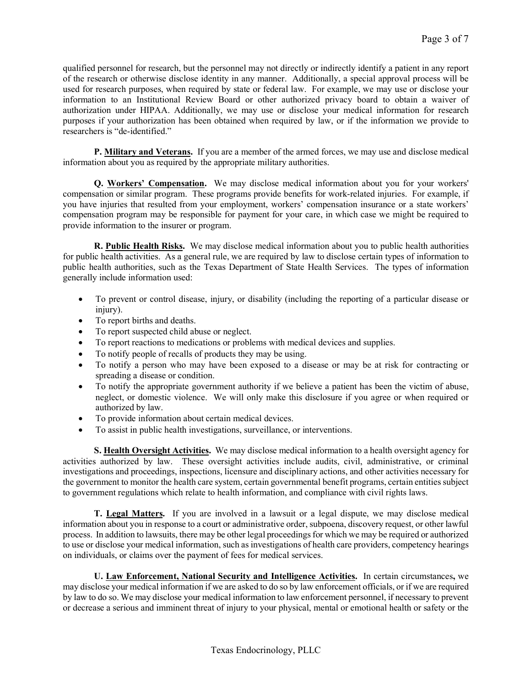qualified personnel for research, but the personnel may not directly or indirectly identify a patient in any report of the research or otherwise disclose identity in any manner. Additionally, a special approval process will be used for research purposes, when required by state or federal law. For example, we may use or disclose your information to an Institutional Review Board or other authorized privacy board to obtain a waiver of authorization under HIPAA. Additionally, we may use or disclose your medical information for research purposes if your authorization has been obtained when required by law, or if the information we provide to researchers is "de-identified."

**P. Military and Veterans.** If you are a member of the armed forces, we may use and disclose medical information about you as required by the appropriate military authorities.

**Q. Workers' Compensation.** We may disclose medical information about you for your workers' compensation or similar program. These programs provide benefits for work-related injuries.For example, if you have injuries that resulted from your employment, workers' compensation insurance or a state workers' compensation program may be responsible for payment for your care, in which case we might be required to provide information to the insurer or program.

**R. Public Health Risks.** We may disclose medical information about you to public health authorities for public health activities. As a general rule, we are required by law to disclose certain types of information to public health authorities, such as the Texas Department of State Health Services. The types of information generally include information used:

- To prevent or control disease, injury, or disability (including the reporting of a particular disease or injury).
- To report births and deaths.
- To report suspected child abuse or neglect.
- To report reactions to medications or problems with medical devices and supplies.
- To notify people of recalls of products they may be using.
- To notify a person who may have been exposed to a disease or may be at risk for contracting or spreading a disease or condition.
- To notify the appropriate government authority if we believe a patient has been the victim of abuse, neglect, or domestic violence. We will only make this disclosure if you agree or when required or authorized by law.
- To provide information about certain medical devices.
- To assist in public health investigations, surveillance, or interventions.

**S. Health Oversight Activities.** We may disclose medical information to a health oversight agency for activities authorized by law. These oversight activities include audits, civil, administrative, or criminal investigations and proceedings, inspections, licensure and disciplinary actions, and other activities necessary for the government to monitor the health care system, certain governmental benefit programs, certain entities subject to government regulations which relate to health information, and compliance with civil rights laws.

**T. Legal Matters.** If you are involved in a lawsuit or a legal dispute, we may disclose medical information about you in response to a court or administrative order, subpoena, discovery request, or other lawful process. In addition to lawsuits, there may be other legal proceedingsfor which we may be required or authorized to use or disclose your medical information, such as investigations of health care providers, competency hearings on individuals, or claims over the payment of fees for medical services.

**U. Law Enforcement, National Security and Intelligence Activities.** In certain circumstances**,** we may disclose your medical information if we are asked to do so by law enforcement officials, or if we are required by law to do so. We may disclose your medical information to law enforcement personnel, if necessary to prevent or decrease a serious and imminent threat of injury to your physical, mental or emotional health or safety or the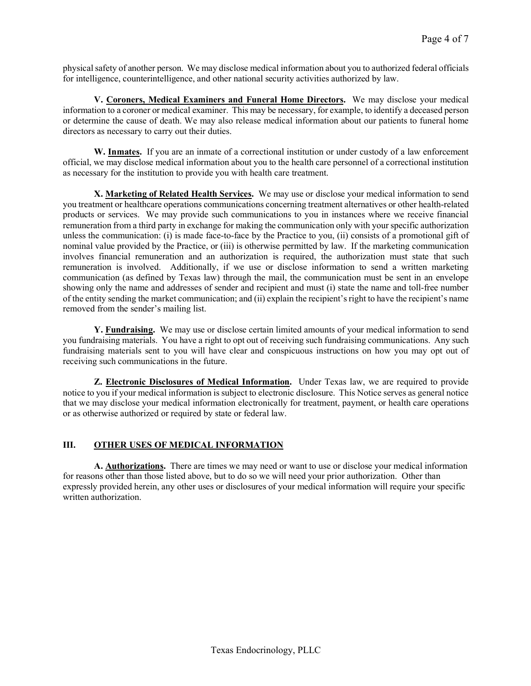physicalsafety of another person. We may disclose medical information about you to authorized federal officials for intelligence, counterintelligence, and other national security activities authorized by law.

**V. Coroners, Medical Examiners and Funeral Home Directors.** We may disclose your medical information to a coroner or medical examiner. This may be necessary, for example, to identify a deceased person or determine the cause of death. We may also release medical information about our patients to funeral home directors as necessary to carry out their duties.

**W. Inmates.** If you are an inmate of a correctional institution or under custody of a law enforcement official, we may disclose medical information about you to the health care personnel of a correctional institution as necessary for the institution to provide you with health care treatment.

**X. Marketing of Related Health Services.** We may use or disclose your medical information to send you treatment or healthcare operations communications concerning treatment alternatives or other health-related products or services. We may provide such communications to you in instances where we receive financial remuneration from a third party in exchange for making the communication only with yourspecific authorization unless the communication: (i) is made face-to-face by the Practice to you, (ii) consists of a promotional gift of nominal value provided by the Practice, or (iii) is otherwise permitted by law. If the marketing communication involves financial remuneration and an authorization is required, the authorization must state that such remuneration is involved. Additionally, if we use or disclose information to send a written marketing communication (as defined by Texas law) through the mail, the communication must be sent in an envelope showing only the name and addresses of sender and recipient and must (i) state the name and toll-free number of the entity sending the market communication; and (ii) explain the recipient'sright to have the recipient's name removed from the sender's mailing list.

**Y. Fundraising.** We may use or disclose certain limited amounts of your medical information to send you fundraising materials. You have a right to opt out of receiving such fundraising communications. Any such fundraising materials sent to you will have clear and conspicuous instructions on how you may opt out of receiving such communications in the future.

**Z. Electronic Disclosures of Medical Information.** Under Texas law, we are required to provide notice to you if your medical information is subject to electronic disclosure. This Notice serves as general notice that we may disclose your medical information electronically for treatment, payment, or health care operations or as otherwise authorized or required by state or federal law.

## **III. OTHER USES OF MEDICAL INFORMATION**

**A. Authorizations.** There are times we may need or want to use or disclose your medical information for reasons other than those listed above, but to do so we will need your prior authorization. Other than expressly provided herein, any other uses or disclosures of your medical information will require your specific written authorization.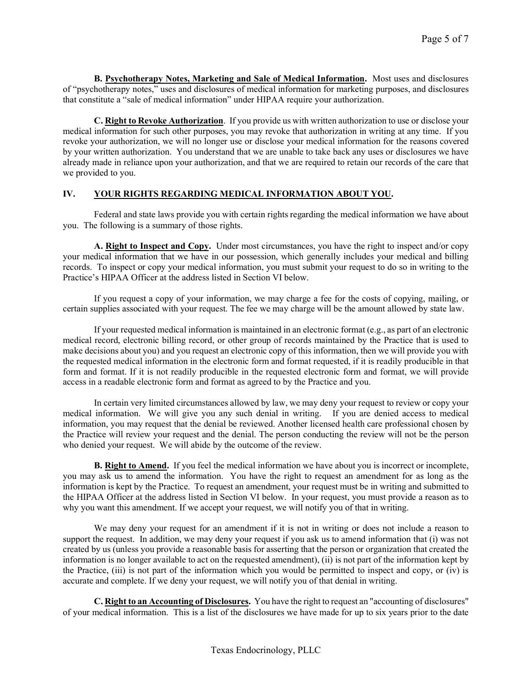**B. Psychotherapy Notes, Marketing and Sale of Medical Information.** Most uses and disclosures of "psychotherapy notes," uses and disclosures of medical information for marketing purposes, and disclosures that constitute a "sale of medical information" under HIPAA require your authorization.

**C. Right to Revoke Authorization**. If you provide us with written authorization to use or disclose your medical information for such other purposes, you may revoke that authorization in writing at any time. If you revoke your authorization, we will no longer use or disclose your medical information for the reasons covered by your written authorization. You understand that we are unable to take back any uses or disclosures we have already made in reliance upon your authorization, and that we are required to retain our records of the care that we provided to you.

# **IV. YOUR RIGHTS REGARDING MEDICAL INFORMATION ABOUT YOU.**

Federal and state laws provide you with certain rights regarding the medical information we have about you. The following is a summary of those rights.

**A. Right to Inspect and Copy.** Under most circumstances, you have the right to inspect and/or copy your medical information that we have in our possession, which generally includes your medical and billing records. To inspect or copy your medical information, you must submit your request to do so in writing to the Practice's HIPAA Officer at the address listed in Section VI below.

If you request a copy of your information, we may charge a fee for the costs of copying, mailing, or certain supplies associated with your request. The fee we may charge will be the amount allowed by state law.

If your requested medical information is maintained in an electronic format (e.g., as part of an electronic medical record, electronic billing record, or other group of records maintained by the Practice that is used to make decisions about you) and you request an electronic copy of this information, then we will provide you with the requested medical information in the electronic form and format requested, if it is readily producible in that form and format. If it is not readily producible in the requested electronic form and format, we will provide access in a readable electronic form and format as agreed to by the Practice and you.

In certain very limited circumstances allowed by law, we may deny your request to review or copy your medical information. We will give you any such denial in writing. If you are denied access to medical information, you may request that the denial be reviewed. Another licensed health care professional chosen by the Practice will review your request and the denial. The person conducting the review will not be the person who denied your request. We will abide by the outcome of the review.

**B. Right to Amend.** If you feel the medical information we have about you is incorrect or incomplete, you may ask us to amend the information. You have the right to request an amendment for as long as the information is kept by the Practice. To request an amendment, your request must be in writing and submitted to the HIPAA Officer at the address listed in Section VI below. In your request, you must provide a reason as to why you want this amendment. If we accept your request, we will notify you of that in writing.

We may deny your request for an amendment if it is not in writing or does not include a reason to support the request. In addition, we may deny your request if you ask us to amend information that (i) was not created by us (unless you provide a reasonable basis for asserting that the person or organization that created the information is no longer available to act on the requested amendment), (ii) is not part of the information kept by the Practice, (iii) is not part of the information which you would be permitted to inspect and copy, or (iv) is accurate and complete. If we deny your request, we will notify you of that denial in writing.

**C. Right to an Accounting of Disclosures.** You have the right to request an "accounting of disclosures" of your medical information. This is a list of the disclosures we have made for up to six years prior to the date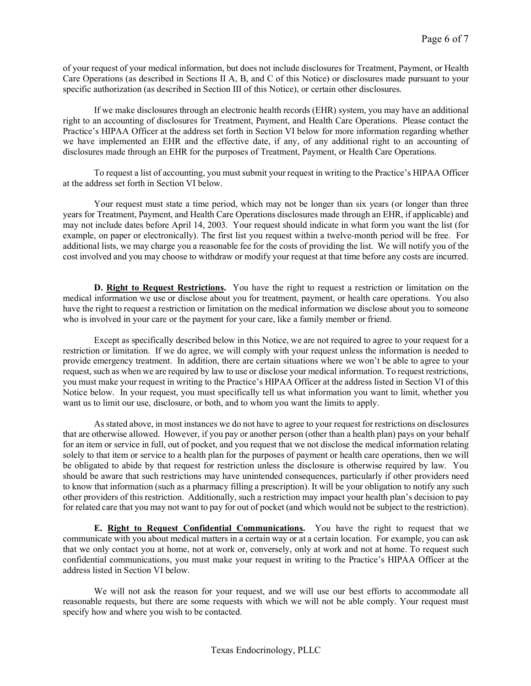of your request of your medical information, but does not include disclosures for Treatment, Payment, or Health Care Operations (as described in Sections II A, B, and C of this Notice) or disclosures made pursuant to your specific authorization (as described in Section III of this Notice), or certain other disclosures.

If we make disclosures through an electronic health records (EHR) system, you may have an additional right to an accounting of disclosures for Treatment, Payment, and Health Care Operations. Please contact the Practice's HIPAA Officer at the address set forth in Section VI below for more information regarding whether we have implemented an EHR and the effective date, if any, of any additional right to an accounting of disclosures made through an EHR for the purposes of Treatment, Payment, or Health Care Operations.

To request a list of accounting, you must submit your request in writing to the Practice's HIPAA Officer at the address set forth in Section VI below.

Your request must state a time period, which may not be longer than six years (or longer than three years for Treatment, Payment, and Health Care Operations disclosures made through an EHR, if applicable) and may not include dates before April 14, 2003. Your request should indicate in what form you want the list (for example, on paper or electronically). The first list you request within a twelve-month period will be free. For additional lists, we may charge you a reasonable fee for the costs of providing the list. We will notify you of the cost involved and you may choose to withdraw or modify your request at that time before any costs are incurred.

**D. Right to Request Restrictions.** You have the right to request a restriction or limitation on the medical information we use or disclose about you for treatment, payment, or health care operations. You also have the right to request a restriction or limitation on the medical information we disclose about you to someone who is involved in your care or the payment for your care, like a family member or friend.

Except as specifically described below in this Notice, we are not required to agree to your request for a restriction or limitation.If we do agree, we will comply with your request unless the information is needed to provide emergency treatment. In addition, there are certain situations where we won't be able to agree to your request, such as when we are required by law to use or disclose your medical information. To request restrictions, you must make your request in writing to the Practice's HIPAA Officer at the address listed in Section VI of this Notice below. In your request, you must specifically tell us what information you want to limit, whether you want us to limit our use, disclosure, or both, and to whom you want the limits to apply.

As stated above, in most instances we do not have to agree to your request for restrictions on disclosures that are otherwise allowed. However, if you pay or another person (other than a health plan) pays on your behalf for an item or service in full, out of pocket, and you request that we not disclose the medical information relating solely to that item or service to a health plan for the purposes of payment or health care operations, then we will be obligated to abide by that request for restriction unless the disclosure is otherwise required by law. You should be aware that such restrictions may have unintended consequences, particularly if other providers need to know that information (such as a pharmacy filling a prescription). It will be your obligation to notify any such other providers of this restriction. Additionally, such a restriction may impact your health plan's decision to pay for related care that you may not want to pay for out of pocket (and which would not be subject to the restriction).

**E. Right to Request Confidential Communications.** You have the right to request that we communicate with you about medical matters in a certain way or at a certain location. For example, you can ask that we only contact you at home, not at work or, conversely, only at work and not at home. To request such confidential communications, you must make your request in writing to the Practice's HIPAA Officer at the address listed in Section VI below.

We will not ask the reason for your request, and we will use our best efforts to accommodate all reasonable requests, but there are some requests with which we will not be able comply. Your request must specify how and where you wish to be contacted.